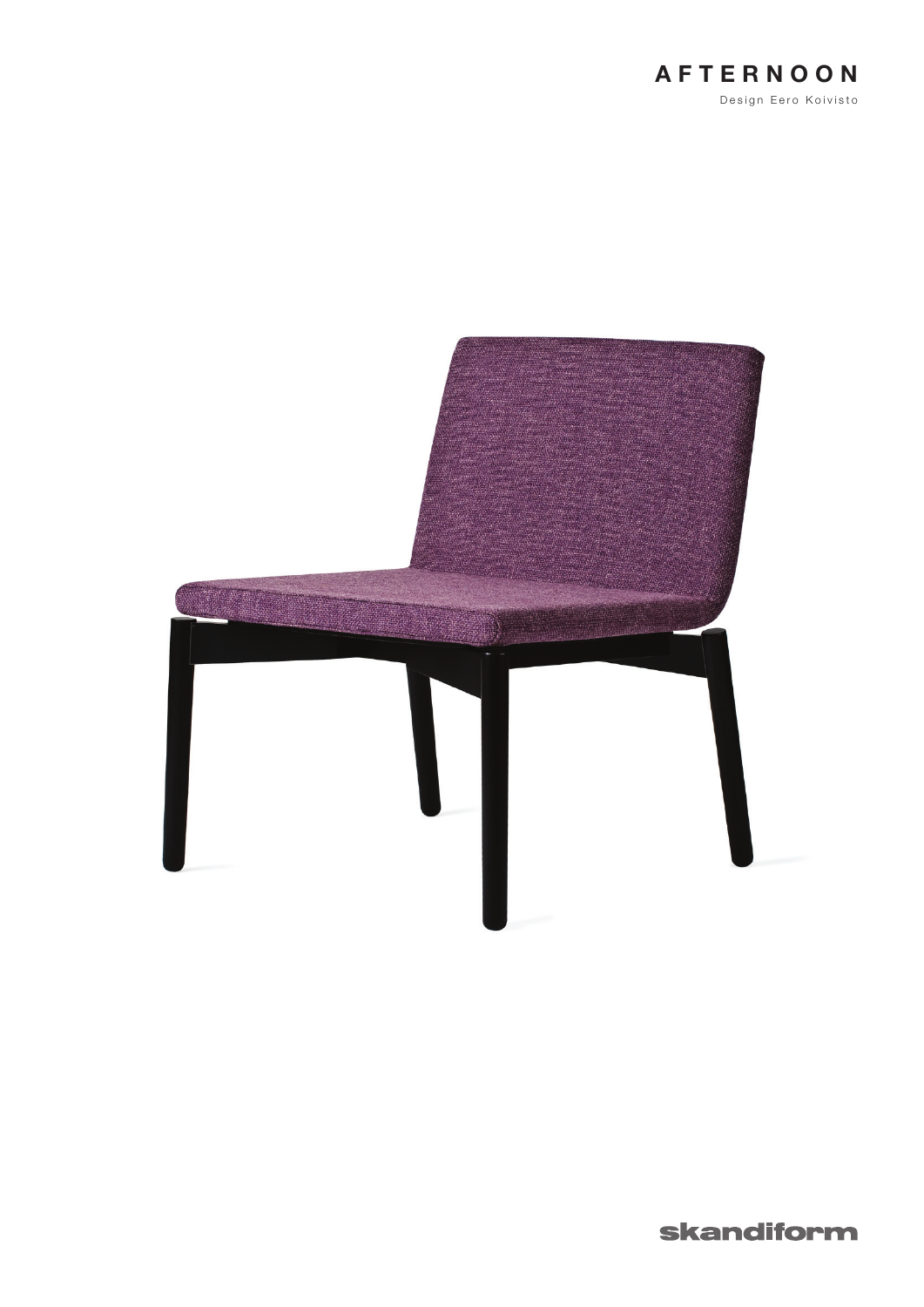



skandiform